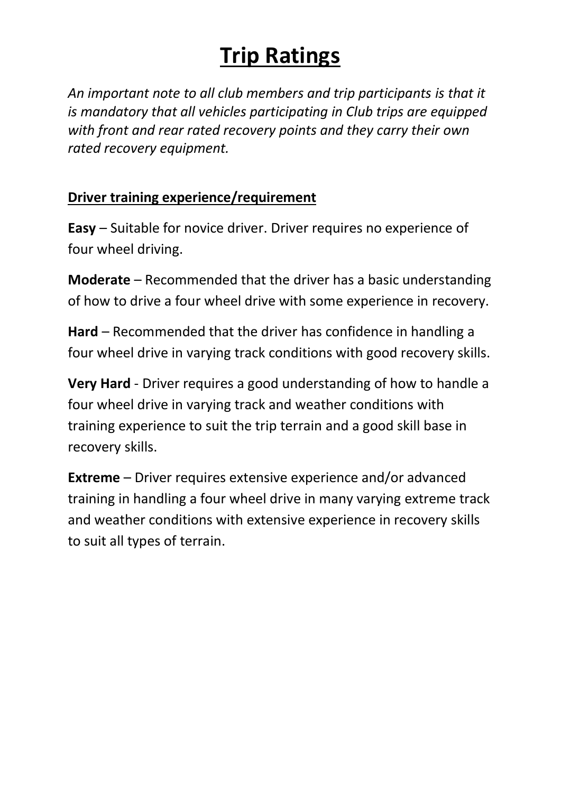## **Trip Ratings**

*An important note to all club members and trip participants is that it is mandatory that all vehicles participating in Club trips are equipped with front and rear rated recovery points and they carry their own rated recovery equipment.*

## **Driver training experience/requirement**

**Easy** – Suitable for novice driver. Driver requires no experience of four wheel driving.

**Moderate** – Recommended that the driver has a basic understanding of how to drive a four wheel drive with some experience in recovery.

**Hard** – Recommended that the driver has confidence in handling a four wheel drive in varying track conditions with good recovery skills.

**Very Hard** - Driver requires a good understanding of how to handle a four wheel drive in varying track and weather conditions with training experience to suit the trip terrain and a good skill base in recovery skills.

**Extreme** – Driver requires extensive experience and/or advanced training in handling a four wheel drive in many varying extreme track and weather conditions with extensive experience in recovery skills to suit all types of terrain.